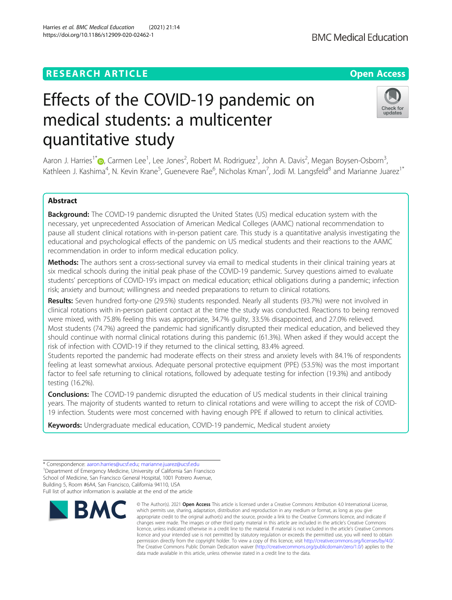# **RESEARCH ARTICLE Example 2014 12:30 The Contract of Contract ACCESS**

# Effects of the COVID-19 pandemic on medical students: a multicenter quantitative study

Aaron J. Harries<sup>1[\\*](http://orcid.org/0000-0001-7107-0995)</sup>�, Carmen Lee<sup>1</sup>, Lee Jones<sup>2</sup>, Robert M. Rodriguez<sup>1</sup>, John A. Davis<sup>2</sup>, Megan Boysen-Osborn<sup>3</sup> , Kathleen J. Kashima<sup>4</sup>, N. Kevin Krane<sup>5</sup>, Guenevere Rae<sup>6</sup>, Nicholas Kman<sup>7</sup>, Jodi M. Langsfeld<sup>8</sup> and Marianne Juarez<sup>1\*</sup>

# Abstract

Background: The COVID-19 pandemic disrupted the United States (US) medical education system with the necessary, yet unprecedented Association of American Medical Colleges (AAMC) national recommendation to pause all student clinical rotations with in-person patient care. This study is a quantitative analysis investigating the educational and psychological effects of the pandemic on US medical students and their reactions to the AAMC recommendation in order to inform medical education policy.

Methods: The authors sent a cross-sectional survey via email to medical students in their clinical training years at six medical schools during the initial peak phase of the COVID-19 pandemic. Survey questions aimed to evaluate students' perceptions of COVID-19's impact on medical education; ethical obligations during a pandemic; infection risk; anxiety and burnout; willingness and needed preparations to return to clinical rotations.

Results: Seven hundred forty-one (29.5%) students responded. Nearly all students (93.7%) were not involved in clinical rotations with in-person patient contact at the time the study was conducted. Reactions to being removed were mixed, with 75.8% feeling this was appropriate, 34.7% guilty, 33.5% disappointed, and 27.0% relieved. Most students (74.7%) agreed the pandemic had significantly disrupted their medical education, and believed they should continue with normal clinical rotations during this pandemic (61.3%). When asked if they would accept the risk of infection with COVID-19 if they returned to the clinical setting, 83.4% agreed.

Students reported the pandemic had moderate effects on their stress and anxiety levels with 84.1% of respondents feeling at least somewhat anxious. Adequate personal protective equipment (PPE) (53.5%) was the most important factor to feel safe returning to clinical rotations, followed by adequate testing for infection (19.3%) and antibody testing (16.2%).

**Conclusions:** The COVID-19 pandemic disrupted the education of US medical students in their clinical training years. The majority of students wanted to return to clinical rotations and were willing to accept the risk of COVID-19 infection. Students were most concerned with having enough PPE if allowed to return to clinical activities.

Keywords: Undergraduate medical education, COVID-19 pandemic, Medical student anxiety

appropriate credit to the original author(s) and the source, provide a link to the Creative Commons licence, and indicate if changes were made. The images or other third party material in this article are included in the article's Creative Commons licence, unless indicated otherwise in a credit line to the material. If material is not included in the article's Creative Commons licence and your intended use is not permitted by statutory regulation or exceeds the permitted use, you will need to obtain permission directly from the copyright holder. To view a copy of this licence, visit [http://creativecommons.org/licenses/by/4.0/.](http://creativecommons.org/licenses/by/4.0/) The Creative Commons Public Domain Dedication waiver [\(http://creativecommons.org/publicdomain/zero/1.0/](http://creativecommons.org/publicdomain/zero/1.0/)) applies to the data made available in this article, unless otherwise stated in a credit line to the data.

\* Correspondence: [aaron.harries@ucsf.edu](mailto:aaron.harries@ucsf.edu); [marianne.juarez@ucsf.edu](mailto:marianne.juarez@ucsf.edu) <sup>1</sup> <sup>1</sup>Department of Emergency Medicine, University of California San Francisco School of Medicine, San Francisco General Hospital, 1001 Potrero Avenue, Building 5, Room #6A4, San Francisco, California 94110, USA Full list of author information is available at the end of the article





updates

<sup>©</sup> The Author(s), 2021 **Open Access** This article is licensed under a Creative Commons Attribution 4.0 International License, **BMC** which permits use, sharing, adaptation, distribution and reproduction in any medium or format, as long as you give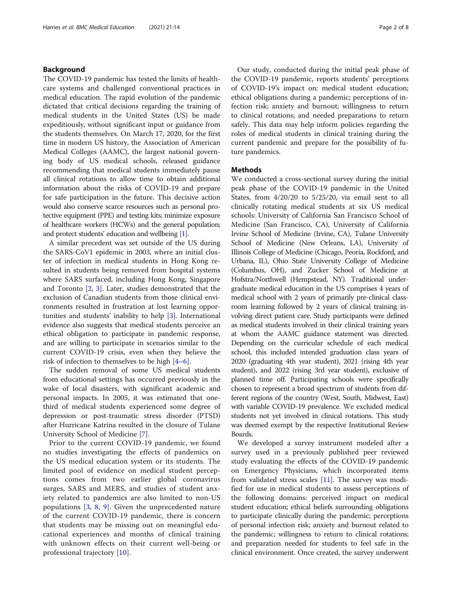# Background

The COVID-19 pandemic has tested the limits of healthcare systems and challenged conventional practices in medical education. The rapid evolution of the pandemic dictated that critical decisions regarding the training of medical students in the United States (US) be made expeditiously, without significant input or guidance from the students themselves. On March 17, 2020, for the first time in modern US history, the Association of American Medical Colleges (AAMC), the largest national governing body of US medical schools, released guidance recommending that medical students immediately pause all clinical rotations to allow time to obtain additional information about the risks of COVID-19 and prepare for safe participation in the future. This decisive action would also conserve scarce resources such as personal protective equipment (PPE) and testing kits; minimize exposure of healthcare workers (HCWs) and the general population; and protect students' education and wellbeing [\[1](#page-7-0)].

A similar precedent was set outside of the US during the SARS-CoV1 epidemic in 2003, where an initial cluster of infection in medical students in Hong Kong resulted in students being removed from hospital systems where SARS surfaced, including Hong Kong, Singapore and Toronto [[2,](#page-7-0) [3](#page-7-0)]. Later, studies demonstrated that the exclusion of Canadian students from those clinical environments resulted in frustration at lost learning opportunities and students' inability to help [\[3](#page-7-0)]. International evidence also suggests that medical students perceive an ethical obligation to participate in pandemic response, and are willing to participate in scenarios similar to the current COVID-19 crisis, even when they believe the risk of infection to themselves to be high [[4](#page-7-0)–[6](#page-7-0)].

The sudden removal of some US medical students from educational settings has occurred previously in the wake of local disasters, with significant academic and personal impacts. In 2005, it was estimated that onethird of medical students experienced some degree of depression or post-traumatic stress disorder (PTSD) after Hurricane Katrina resulted in the closure of Tulane University School of Medicine [[7\]](#page-7-0).

Prior to the current COVID-19 pandemic, we found no studies investigating the effects of pandemics on the US medical education system or its students. The limited pool of evidence on medical student perceptions comes from two earlier global coronavirus surges, SARS and MERS, and studies of student anxiety related to pandemics are also limited to non-US populations [\[3,](#page-7-0) [8,](#page-7-0) [9](#page-7-0)]. Given the unprecedented nature of the current COVID-19 pandemic, there is concern that students may be missing out on meaningful educational experiences and months of clinical training with unknown effects on their current well-being or professional trajectory [[10](#page-7-0)].

Our study, conducted during the initial peak phase of the COVID-19 pandemic, reports students' perceptions of COVID-19's impact on: medical student education; ethical obligations during a pandemic; perceptions of infection risk; anxiety and burnout; willingness to return to clinical rotations; and needed preparations to return safely. This data may help inform policies regarding the roles of medical students in clinical training during the current pandemic and prepare for the possibility of future pandemics.

# Methods

We conducted a cross-sectional survey during the initial peak phase of the COVID-19 pandemic in the United States, from 4/20/20 to 5/25/20, via email sent to all clinically rotating medical students at six US medical schools: University of California San Francisco School of Medicine (San Francisco, CA), University of California Irvine School of Medicine (Irvine, CA), Tulane University School of Medicine (New Orleans, LA), University of Illinois College of Medicine (Chicago, Peoria, Rockford, and Urbana, IL), Ohio State University College of Medicine (Columbus, OH), and Zucker School of Medicine at Hofstra/Northwell (Hempstead, NY). Traditional undergraduate medical education in the US comprises 4 years of medical school with 2 years of primarily pre-clinical classroom learning followed by 2 years of clinical training involving direct patient care. Study participants were defined as medical students involved in their clinical training years at whom the AAMC guidance statement was directed. Depending on the curricular schedule of each medical school, this included intended graduation class years of 2020 (graduating 4th year student), 2021 (rising 4th year student), and 2022 (rising 3rd year student), exclusive of planned time off. Participating schools were specifically chosen to represent a broad spectrum of students from different regions of the country (West, South, Midwest, East) with variable COVID-19 prevalence. We excluded medical students not yet involved in clinical rotations. This study was deemed exempt by the respective Institutional Review Boards.

We developed a survey instrument modeled after a survey used in a previously published peer reviewed study evaluating the effects of the COVID-19 pandemic on Emergency Physicians, which incorporated items from validated stress scales [[11\]](#page-7-0). The survey was modified for use in medical students to assess perceptions of the following domains: perceived impact on medical student education; ethical beliefs surrounding obligations to participate clinically during the pandemic; perceptions of personal infection risk; anxiety and burnout related to the pandemic; willingness to return to clinical rotations; and preparation needed for students to feel safe in the clinical environment. Once created, the survey underwent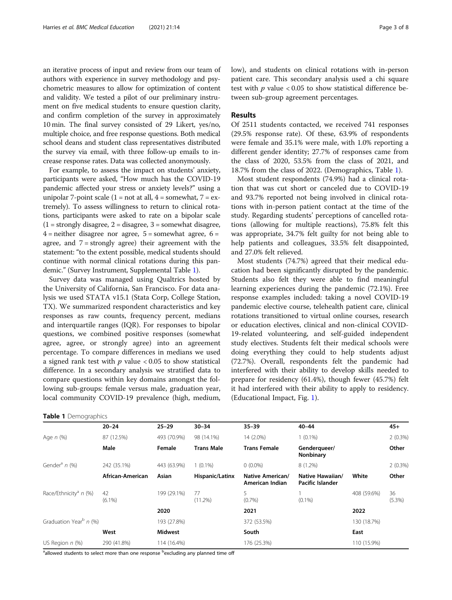an iterative process of input and review from our team of authors with experience in survey methodology and psychometric measures to allow for optimization of content and validity. We tested a pilot of our preliminary instrument on five medical students to ensure question clarity, and confirm completion of the survey in approximately 10 min. The final survey consisted of 29 Likert, yes/no, multiple choice, and free response questions. Both medical school deans and student class representatives distributed the survey via email, with three follow-up emails to increase response rates. Data was collected anonymously.

For example, to assess the impact on students' anxiety, participants were asked, "How much has the COVID-19 pandemic affected your stress or anxiety levels?" using a unipolar 7-point scale  $(1 = not at all, 4 = somewhat, 7 = ex$ tremely). To assess willingness to return to clinical rotations, participants were asked to rate on a bipolar scale  $(1 =$  strongly disagree,  $2 =$  disagree,  $3 =$  somewhat disagree,  $4$  = neither disagree nor agree,  $5$  = somewhat agree,  $6$  = agree, and  $7 =$  strongly agree) their agreement with the statement: "to the extent possible, medical students should continue with normal clinical rotations during this pandemic." (Survey Instrument, Supplemental Table [1\)](#page-6-0).

Survey data was managed using Qualtrics hosted by the University of California, San Francisco. For data analysis we used STATA v15.1 (Stata Corp, College Station, TX). We summarized respondent characteristics and key responses as raw counts, frequency percent, medians and interquartile ranges (IQR). For responses to bipolar questions, we combined positive responses (somewhat agree, agree, or strongly agree) into an agreement percentage. To compare differences in medians we used a signed rank test with  $p$  value  $<0.05$  to show statistical difference. In a secondary analysis we stratified data to compare questions within key domains amongst the following sub-groups: female versus male, graduation year, local community COVID-19 prevalence (high, medium,

# Table 1 Demographics

low), and students on clinical rotations with in-person patient care. This secondary analysis used a chi square test with  $p$  value < 0.05 to show statistical difference between sub-group agreement percentages.

# Results

Of 2511 students contacted, we received 741 responses (29.5% response rate). Of these, 63.9% of respondents were female and 35.1% were male, with 1.0% reporting a different gender identity; 27.7% of responses came from the class of 2020, 53.5% from the class of 2021, and 18.7% from the class of 2022. (Demographics, Table 1).

Most student respondents (74.9%) had a clinical rotation that was cut short or canceled due to COVID-19 and 93.7% reported not being involved in clinical rotations with in-person patient contact at the time of the study. Regarding students' perceptions of cancelled rotations (allowing for multiple reactions), 75.8% felt this was appropriate, 34.7% felt guilty for not being able to help patients and colleagues, 33.5% felt disappointed, and 27.0% felt relieved.

Most students (74.7%) agreed that their medical education had been significantly disrupted by the pandemic. Students also felt they were able to find meaningful learning experiences during the pandemic (72.1%). Free response examples included: taking a novel COVID-19 pandemic elective course, telehealth patient care, clinical rotations transitioned to virtual online courses, research or education electives, clinical and non-clinical COVID-19-related volunteering, and self-guided independent study electives. Students felt their medical schools were doing everything they could to help students adjust (72.7%). Overall, respondents felt the pandemic had interfered with their ability to develop skills needed to prepare for residency (61.4%), though fewer (45.7%) felt it had interfered with their ability to apply to residency. (Educational Impact, Fig. [1\)](#page-3-0).

|                                     | $20 - 24$                  | $25 - 29$      | $30 - 34$         | $35 - 39$                                  | $40 - 44$                            |             | $45+$        |
|-------------------------------------|----------------------------|----------------|-------------------|--------------------------------------------|--------------------------------------|-------------|--------------|
| Age <i>n</i> (%)                    | 87 (12.5%)                 | 493 (70.9%)    | 98 (14.1%)        | 14 (2.0%)                                  | $1(0.1\%)$                           | $2(0.3\%)$  |              |
|                                     | Male                       | Female         | <b>Trans Male</b> | <b>Trans Female</b>                        | Genderqueer/<br>Nonbinary            |             | Other        |
| Gender <sup>a</sup> n (%)           | 242 (35.1%)                | 443 (63.9%)    | $1(0.1\%)$        | $0(0.0\%)$                                 | $8(1.2\%)$                           |             | 2(0.3%)      |
|                                     | African-American           | Asian          | Hispanic/Latinx   | <b>Native American/</b><br>American Indian | Native Hawaiian/<br>Pacific Islander | White       | Other        |
| Race/Ethnicity <sup>a</sup> $n$ (%) | 42<br>$(6.1\%)$            | 199 (29.1%)    | 77<br>$(11.2\%)$  | 5<br>(0.7%                                 | $(0.1\%)$                            | 408 (59.6%) | 36<br>(5.3%) |
|                                     |                            | 2020           |                   | 2021                                       |                                      | 2022        |              |
| Graduation Year <sup>b</sup> n (%)  |                            | 193 (27.8%)    |                   | 372 (53.5%)                                |                                      | 130 (18.7%) |              |
|                                     | West                       | <b>Midwest</b> |                   | South                                      |                                      | East        |              |
| US Region $n$ (%)                   | 114 (16.4%)<br>290 (41.8%) |                | 176 (25.3%)       | 110 (15.9%)                                |                                      |             |              |

<sup>a</sup>allowed students to select more than one response <sup>b</sup>excluding any planned time off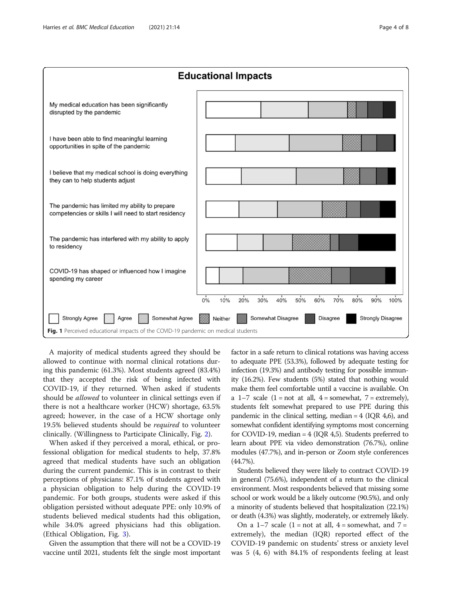<span id="page-3-0"></span>

A majority of medical students agreed they should be allowed to continue with normal clinical rotations during this pandemic (61.3%). Most students agreed (83.4%) that they accepted the risk of being infected with COVID-19, if they returned. When asked if students should be *allowed* to volunteer in clinical settings even if there is not a healthcare worker (HCW) shortage, 63.5% agreed; however, in the case of a HCW shortage only 19.5% believed students should be required to volunteer clinically. (Willingness to Participate Clinically, Fig. [2](#page-4-0)).

When asked if they perceived a moral, ethical, or professional obligation for medical students to help, 37.8% agreed that medical students have such an obligation during the current pandemic. This is in contrast to their perceptions of physicians: 87.1% of students agreed with a physician obligation to help during the COVID-19 pandemic. For both groups, students were asked if this obligation persisted without adequate PPE: only 10.9% of students believed medical students had this obligation, while 34.0% agreed physicians had this obligation. (Ethical Obligation, Fig. [3\)](#page-4-0).

Given the assumption that there will not be a COVID-19 vaccine until 2021, students felt the single most important factor in a safe return to clinical rotations was having access to adequate PPE (53.3%), followed by adequate testing for infection (19.3%) and antibody testing for possible immunity (16.2%). Few students (5%) stated that nothing would make them feel comfortable until a vaccine is available. On a 1–7 scale  $(1 = not at all, 4 = somewhat, 7 = extremely),$ students felt somewhat prepared to use PPE during this pandemic in the clinical setting, median  $= 4$  (IOR 4,6), and somewhat confident identifying symptoms most concerning for COVID-19, median = 4 (IQR 4,5). Students preferred to learn about PPE via video demonstration (76.7%), online modules (47.7%), and in-person or Zoom style conferences (44.7%).

Students believed they were likely to contract COVID-19 in general (75.6%), independent of a return to the clinical environment. Most respondents believed that missing some school or work would be a likely outcome (90.5%), and only a minority of students believed that hospitalization (22.1%) or death (4.3%) was slightly, moderately, or extremely likely.

On a 1–7 scale (1 = not at all, 4 = somewhat, and  $7 =$ extremely), the median (IQR) reported effect of the COVID-19 pandemic on students' stress or anxiety level was 5 (4, 6) with 84.1% of respondents feeling at least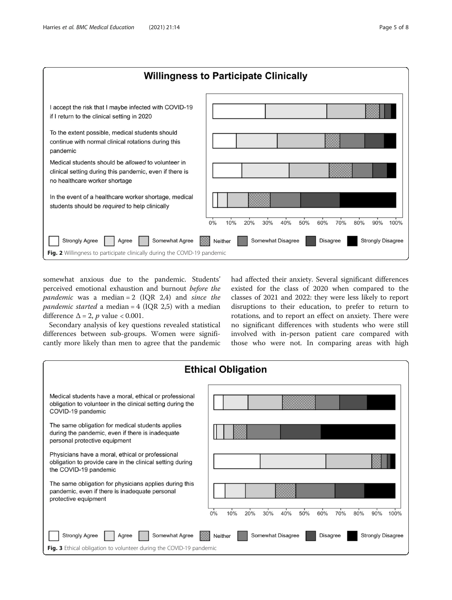<span id="page-4-0"></span>

somewhat anxious due to the pandemic. Students' perceived emotional exhaustion and burnout before the pandemic was a median =  $2$  (IQR 2,4) and since the *pandemic started* a median =  $4$  (IQR 2,5) with a median difference  $\Delta = 2$ , *p* value < 0.001.

Secondary analysis of key questions revealed statistical differences between sub-groups. Women were significantly more likely than men to agree that the pandemic

had affected their anxiety. Several significant differences existed for the class of 2020 when compared to the classes of 2021 and 2022: they were less likely to report disruptions to their education, to prefer to return to rotations, and to report an effect on anxiety. There were no significant differences with students who were still involved with in-person patient care compared with those who were not. In comparing areas with high

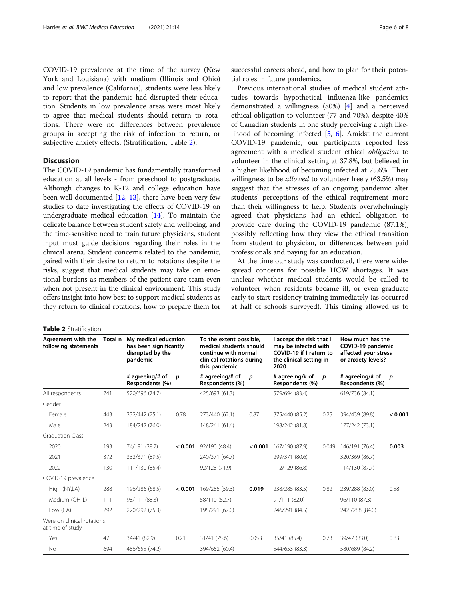COVID-19 prevalence at the time of the survey (New York and Louisiana) with medium (Illinois and Ohio) and low prevalence (California), students were less likely to report that the pandemic had disrupted their education. Students in low prevalence areas were most likely to agree that medical students should return to rotations. There were no differences between prevalence groups in accepting the risk of infection to return, or subjective anxiety effects. (Stratification, Table 2).

# **Discussion**

The COVID-19 pandemic has fundamentally transformed education at all levels - from preschool to postgraduate. Although changes to K-12 and college education have been well documented [\[12,](#page-7-0) [13\]](#page-7-0), there have been very few studies to date investigating the effects of COVID-19 on undergraduate medical education  $[14]$ . To maintain the delicate balance between student safety and wellbeing, and the time-sensitive need to train future physicians, student input must guide decisions regarding their roles in the clinical arena. Student concerns related to the pandemic, paired with their desire to return to rotations despite the risks, suggest that medical students may take on emotional burdens as members of the patient care team even when not present in the clinical environment. This study offers insight into how best to support medical students as they return to clinical rotations, how to prepare them for

|  |  | <b>Table 2</b> Stratification |
|--|--|-------------------------------|
|--|--|-------------------------------|

successful careers ahead, and how to plan for their potential roles in future pandemics.

Previous international studies of medical student attitudes towards hypothetical influenza-like pandemics demonstrated a willingness (80%) [[4\]](#page-7-0) and a perceived ethical obligation to volunteer (77 and 70%), despite 40% of Canadian students in one study perceiving a high likelihood of becoming infected [\[5](#page-7-0), [6\]](#page-7-0). Amidst the current COVID-19 pandemic, our participants reported less agreement with a medical student ethical obligation to volunteer in the clinical setting at 37.8%, but believed in a higher likelihood of becoming infected at 75.6%. Their willingness to be *allowed* to volunteer freely (63.5%) may suggest that the stresses of an ongoing pandemic alter students' perceptions of the ethical requirement more than their willingness to help. Students overwhelmingly agreed that physicians had an ethical obligation to provide care during the COVID-19 pandemic (87.1%), possibly reflecting how they view the ethical transition from student to physician, or differences between paid professionals and paying for an education.

At the time our study was conducted, there were widespread concerns for possible HCW shortages. It was unclear whether medical students would be called to volunteer when residents became ill, or even graduate early to start residency training immediately (as occurred at half of schools surveyed). This timing allowed us to

| Agreement with the<br>following statements     | Total n | My medical education<br>has been significantly<br>disrupted by the<br>pandemic |         | To the extent possible,<br>medical students should<br>continue with normal<br>clinical rotations during<br>this pandemic |         | I accept the risk that I<br>may be infected with<br>COVID-19 if I return to<br>the clinical setting in<br>2020 |       | How much has the<br>COVID-19 pandemic<br>affected your stress<br>or anxiety levels? |         |
|------------------------------------------------|---------|--------------------------------------------------------------------------------|---------|--------------------------------------------------------------------------------------------------------------------------|---------|----------------------------------------------------------------------------------------------------------------|-------|-------------------------------------------------------------------------------------|---------|
|                                                |         | # agreeing/# of<br>Respondents (%)                                             | D       | # agreeing/# of<br>Respondents (%)                                                                                       | D       | # agreeing/# of<br>Respondents (%)                                                                             | D     | # agreeing/# of<br>Respondents (%)                                                  | p       |
| All respondents                                | 741     | 520/696 (74.7)                                                                 |         | 425/693 (61.3)                                                                                                           |         | 579/694 (83.4)                                                                                                 |       | 619/736 (84.1)                                                                      |         |
| Gender                                         |         |                                                                                |         |                                                                                                                          |         |                                                                                                                |       |                                                                                     |         |
| Female                                         | 443     | 332/442 (75.1)                                                                 | 0.78    | 273/440 (62.1)                                                                                                           | 0.87    | 375/440 (85.2)                                                                                                 | 0.25  | 394/439 (89.8)                                                                      | < 0.001 |
| Male                                           | 243     | 184/242 (76.0)                                                                 |         | 148/241 (61.4)                                                                                                           |         | 198/242 (81.8)                                                                                                 |       | 177/242 (73.1)                                                                      |         |
| <b>Graduation Class</b>                        |         |                                                                                |         |                                                                                                                          |         |                                                                                                                |       |                                                                                     |         |
| 2020                                           | 193     | 74/191 (38.7)                                                                  | < 0.001 | 92/190 (48.4)                                                                                                            | < 0.001 | 167/190 (87.9)                                                                                                 | 0.049 | 146/191 (76.4)                                                                      | 0.003   |
| 2021                                           | 372     | 332/371 (89.5)                                                                 |         | 240/371 (64.7)                                                                                                           |         | 299/371 (80.6)                                                                                                 |       | 320/369 (86.7)                                                                      |         |
| 2022                                           | 130     | 111/130 (85.4)                                                                 |         | 92/128 (71.9)                                                                                                            |         | 112/129 (86.8)                                                                                                 |       | 114/130 (87.7)                                                                      |         |
| COVID-19 prevalence                            |         |                                                                                |         |                                                                                                                          |         |                                                                                                                |       |                                                                                     |         |
| High (NY,LA)                                   | 288     | 196/286 (68.5)                                                                 | < 0.001 | 169/285 (59.3)                                                                                                           | 0.019   | 238/285 (83.5)                                                                                                 | 0.82  | 239/288 (83.0)                                                                      | 0.58    |
| Medium (OH,IL)                                 | 111     | 98/111 (88.3)                                                                  |         | 58/110 (52.7)                                                                                                            |         | 91/111 (82.0)                                                                                                  |       | 96/110 (87.3)                                                                       |         |
| Low (CA)                                       | 292     | 220/292 (75.3)                                                                 |         | 195/291 (67.0)                                                                                                           |         | 246/291 (84.5)                                                                                                 |       | 242 / 288 (84.0)                                                                    |         |
| Were on clinical rotations<br>at time of study |         |                                                                                |         |                                                                                                                          |         |                                                                                                                |       |                                                                                     |         |
| Yes                                            | 47      | 34/41 (82.9)                                                                   | 0.21    | 31/41 (75.6)                                                                                                             | 0.053   | 35/41 (85.4)                                                                                                   | 0.73  | 39/47 (83.0)                                                                        | 0.83    |
| No                                             | 694     | 486/655 (74.2)                                                                 |         | 394/652 (60.4)                                                                                                           |         | 544/653 (83.3)                                                                                                 |       | 580/689 (84.2)                                                                      |         |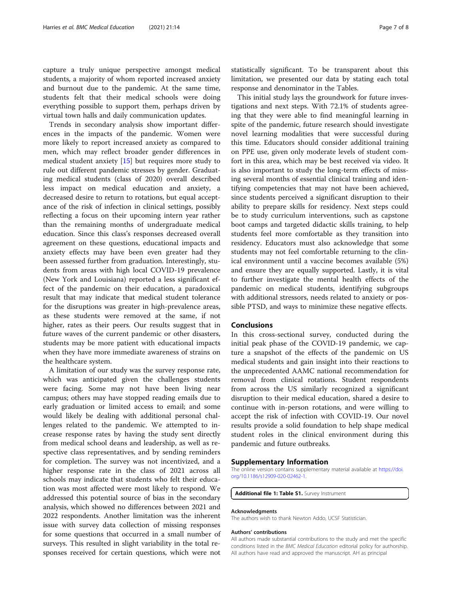<span id="page-6-0"></span>capture a truly unique perspective amongst medical students, a majority of whom reported increased anxiety and burnout due to the pandemic. At the same time, students felt that their medical schools were doing everything possible to support them, perhaps driven by virtual town halls and daily communication updates.

Trends in secondary analysis show important differences in the impacts of the pandemic. Women were more likely to report increased anxiety as compared to men, which may reflect broader gender differences in medical student anxiety [[15\]](#page-7-0) but requires more study to rule out different pandemic stresses by gender. Graduating medical students (class of 2020) overall described less impact on medical education and anxiety, a decreased desire to return to rotations, but equal acceptance of the risk of infection in clinical settings, possibly reflecting a focus on their upcoming intern year rather than the remaining months of undergraduate medical education. Since this class's responses decreased overall agreement on these questions, educational impacts and anxiety effects may have been even greater had they been assessed further from graduation. Interestingly, students from areas with high local COVID-19 prevalence (New York and Louisiana) reported a less significant effect of the pandemic on their education, a paradoxical result that may indicate that medical student tolerance for the disruptions was greater in high-prevalence areas, as these students were removed at the same, if not higher, rates as their peers. Our results suggest that in future waves of the current pandemic or other disasters, students may be more patient with educational impacts when they have more immediate awareness of strains on the healthcare system.

A limitation of our study was the survey response rate, which was anticipated given the challenges students were facing. Some may not have been living near campus; others may have stopped reading emails due to early graduation or limited access to email; and some would likely be dealing with additional personal challenges related to the pandemic. We attempted to increase response rates by having the study sent directly from medical school deans and leadership, as well as respective class representatives, and by sending reminders for completion. The survey was not incentivized, and a higher response rate in the class of 2021 across all schools may indicate that students who felt their education was most affected were most likely to respond. We addressed this potential source of bias in the secondary analysis, which showed no differences between 2021 and 2022 respondents. Another limitation was the inherent issue with survey data collection of missing responses for some questions that occurred in a small number of surveys. This resulted in slight variability in the total responses received for certain questions, which were not

statistically significant. To be transparent about this limitation, we presented our data by stating each total response and denominator in the Tables.

This initial study lays the groundwork for future investigations and next steps. With 72.1% of students agreeing that they were able to find meaningful learning in spite of the pandemic, future research should investigate novel learning modalities that were successful during this time. Educators should consider additional training on PPE use, given only moderate levels of student comfort in this area, which may be best received via video. It is also important to study the long-term effects of missing several months of essential clinical training and identifying competencies that may not have been achieved, since students perceived a significant disruption to their ability to prepare skills for residency. Next steps could be to study curriculum interventions, such as capstone boot camps and targeted didactic skills training, to help students feel more comfortable as they transition into residency. Educators must also acknowledge that some students may not feel comfortable returning to the clinical environment until a vaccine becomes available (5%) and ensure they are equally supported. Lastly, it is vital to further investigate the mental health effects of the pandemic on medical students, identifying subgroups with additional stressors, needs related to anxiety or possible PTSD, and ways to minimize these negative effects.

## Conclusions

In this cross-sectional survey, conducted during the initial peak phase of the COVID-19 pandemic, we capture a snapshot of the effects of the pandemic on US medical students and gain insight into their reactions to the unprecedented AAMC national recommendation for removal from clinical rotations. Student respondents from across the US similarly recognized a significant disruption to their medical education, shared a desire to continue with in-person rotations, and were willing to accept the risk of infection with COVID-19. Our novel results provide a solid foundation to help shape medical student roles in the clinical environment during this pandemic and future outbreaks.

# Supplementary Information

The online version contains supplementary material available at [https://doi.](https://doi.org/10.1186/s12909-020-02462-1) [org/10.1186/s12909-020-02462-1.](https://doi.org/10.1186/s12909-020-02462-1)

Additional file 1: Table S1. Survey Instrument

#### Acknowledgments

The authors wish to thank Newton Addo, UCSF Statistician.

#### Authors' contributions

All authors made substantial contributions to the study and met the specific conditions listed in the BMC Medical Education editorial policy for authorship. All authors have read and approved the manuscript. AH as principal